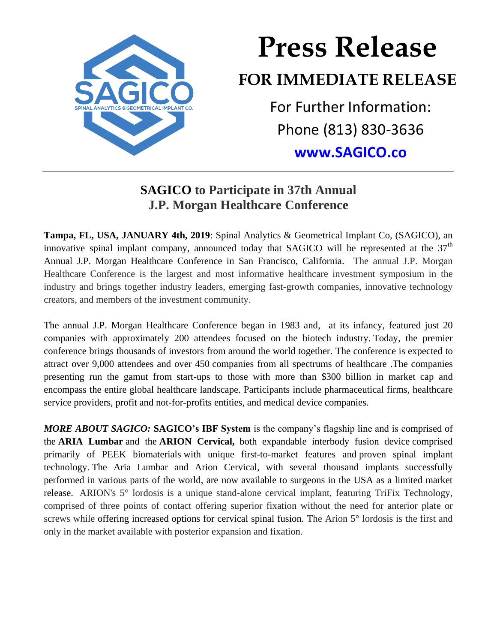

## **Press Release FOR IMMEDIATE RELEASE** For Further Information: Phone (813) 830-3636

**[www.SAGICO.co](http://www.sagico.co/)**

## **SAGICO to Participate in 37th Annual J.P. Morgan Healthcare Conference**

**Tampa, FL, USA, JANUARY 4th, 2019**: Spinal Analytics & Geometrical Implant Co, (SAGICO), an innovative spinal implant company, announced today that SAGICO will be represented at the  $37<sup>th</sup>$ Annual J.P. Morgan Healthcare Conference in San Francisco, California. The annual J.P. Morgan Healthcare Conference is the largest and most informative healthcare investment symposium in the industry and brings together industry leaders, emerging fast-growth companies, innovative technology creators, and members of the investment community.

The annual J.P. Morgan Healthcare Conference began in 1983 and, at its infancy, featured just 20 companies with approximately 200 attendees focused on the biotech industry. Today, the premier conference brings thousands of investors from around the world together. The conference is expected to attract over 9,000 attendees and over 450 companies from all spectrums of healthcare .The companies presenting run the gamut from start-ups to those with more than \$300 billion in market cap and encompass the entire global healthcare landscape. Participants include pharmaceutical firms, healthcare service providers, profit and not-for-profits entities, and medical device companies.

*MORE ABOUT SAGICO:* **SAGICO's IBF System** is the company's flagship line and is comprised of the **ARIA Lumbar** and the **ARION Cervical,** both expandable interbody fusion device comprised primarily of PEEK biomaterials with unique first-to-market features and proven spinal implant technology. The Aria Lumbar and Arion Cervical, with several thousand implants successfully performed in various parts of the world, are now available to surgeons in the USA as a limited market release. ARION's 5° lordosis is a unique stand-alone cervical implant, featuring TriFix Technology, comprised of three points of contact offering superior fixation without the need for anterior plate or screws while offering increased options for cervical spinal fusion. The Arion 5° lordosis is the first and only in the market available with posterior expansion and fixation.